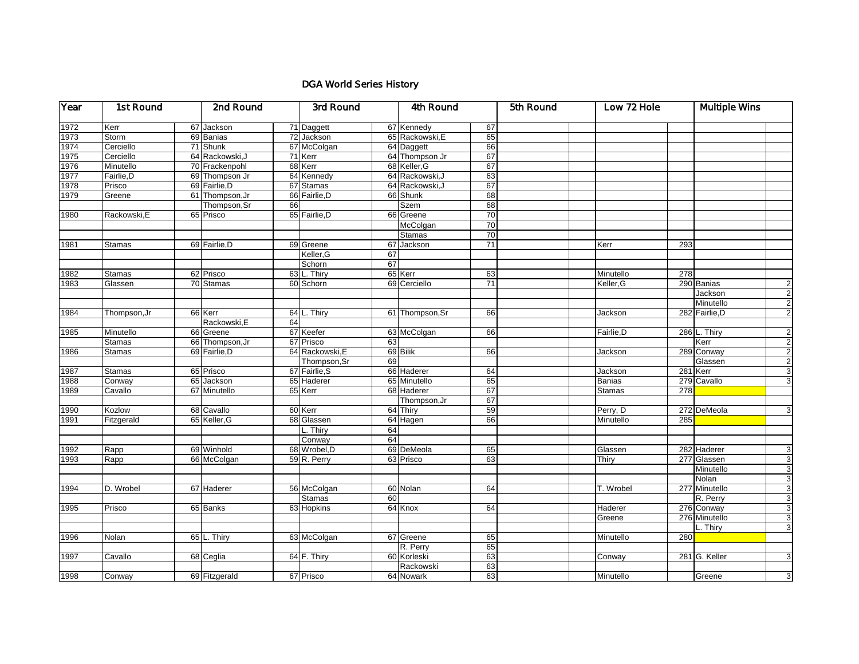## DGA World Series History

| Year | 1st Round     |  | 2nd Round       |    | 3rd Round       |    | 4th Round       |    | 5th Round |               | Low 72 Hole |                | <b>Multiple Wins</b> |  |
|------|---------------|--|-----------------|----|-----------------|----|-----------------|----|-----------|---------------|-------------|----------------|----------------------|--|
| 1972 | Kerr          |  | 67 Jackson      |    | 71 Daggett      |    | 67 Kennedy      | 67 |           |               |             |                |                      |  |
| 1973 | Storm         |  | 69 Banias       |    | 72 Jackson      |    | 65 Rackowski, E | 65 |           |               |             |                |                      |  |
| 1974 | Cerciello     |  | 71 Shunk        |    | 67 McColgan     |    | 64 Daggett      | 66 |           |               |             |                |                      |  |
| 1975 | Cerciello     |  | 64 Rackowski, J |    | 71 Kerr         |    | 64 Thompson Jr  | 67 |           |               |             |                |                      |  |
| 1976 | Minutello     |  | 70 Frackenpohl  |    | 68 Kerr         |    | 68 Keller, G    | 67 |           |               |             |                |                      |  |
| 1977 | Fairlie, D    |  | 69 Thompson Jr  |    | 64 Kennedy      |    | 64 Rackowski, J | 63 |           |               |             |                |                      |  |
| 1978 | Prisco        |  | 69 Fairlie, D   |    | 67 Stamas       |    | 64 Rackowski, J | 67 |           |               |             |                |                      |  |
| 1979 | Greene        |  | 61 Thompson, Jr |    | 66 Fairlie.D    |    | 66 Shunk        | 68 |           |               |             |                |                      |  |
|      |               |  | Thompson, Sr    | 66 |                 |    | <b>Szem</b>     | 68 |           |               |             |                |                      |  |
| 1980 | Rackowski,E   |  | 65 Prisco       |    | 65 Fairlie, D   |    | 66 Greene       | 70 |           |               |             |                |                      |  |
|      |               |  |                 |    |                 |    | McColgan        | 70 |           |               |             |                |                      |  |
|      |               |  |                 |    |                 |    | <b>Stamas</b>   | 70 |           |               |             |                |                      |  |
| 1981 | <b>Stamas</b> |  | 69 Fairlie, D   |    | 69 Greene       | 67 | Jackson         | 71 |           | Kerr          | 293         |                |                      |  |
|      |               |  |                 |    | Keller, G       | 67 |                 |    |           |               |             |                |                      |  |
|      |               |  |                 |    | Schorn          | 67 |                 |    |           |               |             |                |                      |  |
| 1982 | <b>Stamas</b> |  | 62 Prisco       |    | 63 L. Thiry     |    | 65 Kerr         | 63 |           | Minutello     | 278         |                |                      |  |
| 1983 | Glassen       |  | 70 Stamas       |    | 60 Schorn       |    | 69 Cerciello    | 71 |           | Keller, G     |             | 290 Banias     | $\mathbf{2}$         |  |
|      |               |  |                 |    |                 |    |                 |    |           |               |             | Jackson        | $\overline{2}$       |  |
|      |               |  |                 |    |                 |    |                 |    |           |               |             | Minutello      | $\overline{2}$       |  |
| 1984 | Thompson, Jr  |  | 66 Kerr         |    | 64 L. Thiry     |    | 61 Thompson, Sr | 66 |           | Jackson       |             | 282 Fairlie, D | $\overline{2}$       |  |
|      |               |  | Rackowski, E    | 64 |                 |    |                 |    |           |               |             |                |                      |  |
| 1985 | Minutello     |  | 66 Greene       |    | 67 Keefer       |    | 63 McColgan     | 66 |           | Fairlie, D    |             | 286 L. Thiry   | $\overline{2}$       |  |
|      | <b>Stamas</b> |  | 66 Thompson, Jr |    | 67 Prisco       | 63 |                 |    |           |               |             | Kerr           | $\overline{a}$       |  |
| 1986 | <b>Stamas</b> |  | 69 Fairlie, D   |    | 64 Rackowski, E |    | 69 Bilik        | 66 |           | Jackson       |             | 289 Conway     | $\overline{c}$       |  |
|      |               |  |                 |    | Thompson, Sr    | 69 |                 |    |           |               |             | Glassen        | $\overline{c}$       |  |
| 1987 | <b>Stamas</b> |  | 65 Prisco       |    | 67 Fairlie, S   |    | 66 Haderer      | 64 |           | Jackson       |             | 281 Kerr       | $\overline{3}$       |  |
| 1988 | Conway        |  | 65 Jackson      |    | 65 Haderer      |    | 65 Minutello    | 65 |           | <b>Banias</b> |             | 279 Cavallo    | $\overline{3}$       |  |
| 1989 | Cavallo       |  | 67 Minutello    |    | 65 Kerr         |    | 68 Haderer      | 67 |           | Stamas        | 278         |                |                      |  |
|      |               |  |                 |    |                 |    | Thompson, Jr    | 67 |           |               |             |                |                      |  |
| 1990 | Kozlow        |  | 68 Cavallo      |    | 60 Kerr         |    | 64 Thiry        | 59 |           | Perry, D      |             | 272 DeMeola    | 3 <sup>1</sup>       |  |
| 1991 | Fitzgerald    |  | 65 Keller, G    |    | 68 Glassen      |    | 64 Hagen        | 66 |           | Minutello     | 285         |                |                      |  |
|      |               |  |                 |    | L. Thiry        | 64 |                 |    |           |               |             |                |                      |  |
|      |               |  |                 |    | Conway          | 64 |                 |    |           |               |             |                |                      |  |
| 1992 | Rapp          |  | 69 Winhold      |    | 68 Wrobel, D    |    | 69 DeMeola      | 65 |           | Glassen       |             | 282 Haderer    | 3 <sup>1</sup>       |  |
| 1993 | Rapp          |  | 66 McColgan     |    | 59 R. Perry     |    | 63 Prisco       | 63 |           | Thiry         |             | 277 Glassen    | 3                    |  |
|      |               |  |                 |    |                 |    |                 |    |           |               |             | Minutello      | $\mathbf{3}$         |  |
|      |               |  |                 |    |                 |    |                 |    |           |               |             | Nolan          | $\overline{3}$       |  |
| 1994 | D. Wrobel     |  | 67 Haderer      |    | 56 McColgan     |    | 60 Nolan        | 64 |           | T. Wrobel     |             | 277 Minutello  | $\mathbf{3}$         |  |
|      |               |  |                 |    | <b>Stamas</b>   | 60 |                 |    |           |               |             | R. Perry       | $\overline{3}$       |  |
| 1995 | Prisco        |  | 65 Banks        |    | 63 Hopkins      |    | 64 Knox         | 64 |           | Haderer       |             | 276 Conway     | $\overline{3}$       |  |
|      |               |  |                 |    |                 |    |                 |    |           | Greene        |             | 276 Minutello  | 3                    |  |
|      |               |  |                 |    |                 |    |                 |    |           |               |             | L. Thiry       | 3 <sup>1</sup>       |  |
| 1996 | Nolan         |  | 65 L. Thiry     |    | 63 McColgan     |    | 67 Greene       | 65 |           | Minutello     | 280         |                |                      |  |
|      |               |  |                 |    |                 |    | R. Perry        | 65 |           |               |             |                |                      |  |
| 1997 | Cavallo       |  | 68 Ceglia       |    | 64 F. Thiry     |    | 60 Korleski     | 63 |           | Conway        |             | 281 G. Keller  | 3                    |  |
|      |               |  |                 |    |                 |    | Rackowski       | 63 |           |               |             |                |                      |  |
| 1998 | Conway        |  | 69 Fitzgerald   |    | 67 Prisco       |    | 64 Nowark       | 63 |           | Minutello     |             | Greene         | $\overline{3}$       |  |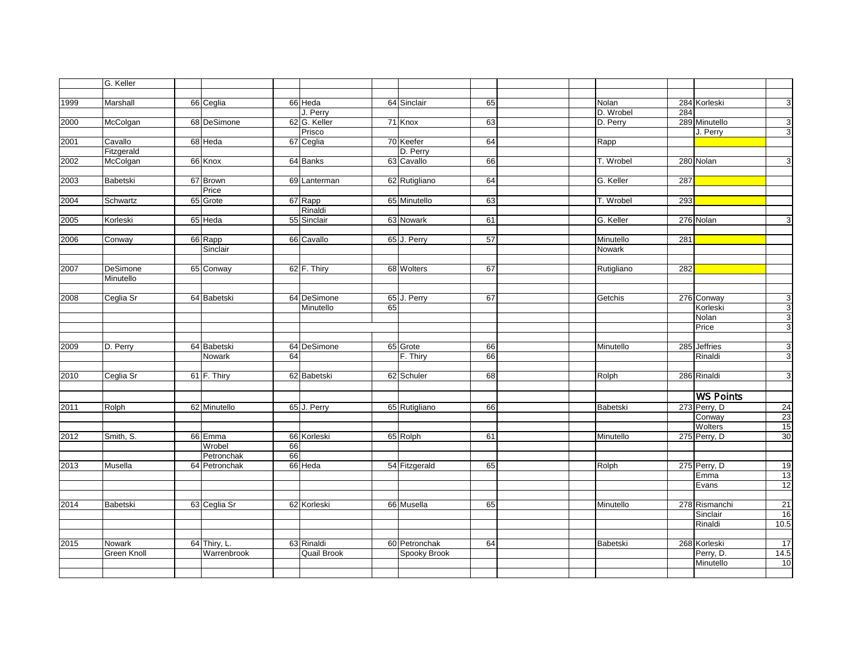|      | G. Keller          |               |    |                    |    |                     |    |  |            |     |                  |                |
|------|--------------------|---------------|----|--------------------|----|---------------------|----|--|------------|-----|------------------|----------------|
|      |                    |               |    |                    |    |                     |    |  |            |     |                  |                |
| 1999 | Marshall           | 66 Ceglia     |    | 66 Heda            |    | 64 Sinclair         | 65 |  | Nolan      |     | 284 Korleski     | 3              |
|      |                    |               |    | J. Perry           |    |                     |    |  | D. Wrobel  | 284 |                  |                |
| 2000 | McColgan           | 68 DeSimone   |    | 62 G. Keller       |    | 71 Knox             | 63 |  | D. Perry   |     | 289 Minutello    | 3              |
|      |                    |               |    | Prisco             |    |                     |    |  |            |     | J. Perry         | 3              |
| 2001 | Cavallo            | 68 Heda       |    | 67 Ceglia          |    | 70 Keefer           | 64 |  | Rapp       |     |                  |                |
|      | Fitzgerald         |               |    |                    |    | D. Perry            |    |  |            |     |                  |                |
| 2002 | McColgan           | 66 Knox       |    | 64 Banks           |    | 63 Cavallo          | 66 |  | T. Wrobel  |     | 280 Nolan        | $\overline{3}$ |
|      |                    |               |    |                    |    |                     |    |  |            |     |                  |                |
| 2003 | Babetski           | 67 Brown      |    | 69 Lanterman       |    | 62 Rutigliano       | 64 |  | G. Keller  | 287 |                  |                |
|      |                    | Price         |    |                    |    |                     |    |  |            |     |                  |                |
| 2004 | Schwartz           | 65 Grote      |    | 67 Rapp            |    | 65 Minutello        | 63 |  | T. Wrobel  | 293 |                  |                |
|      |                    |               |    | Rinaldi            |    |                     |    |  |            |     |                  |                |
| 2005 | Korleski           | 65 Heda       |    | 55 Sinclair        |    | 63 Nowark           | 61 |  | G. Keller  |     | 276 Nolan        | ω              |
|      |                    |               |    |                    |    |                     |    |  |            |     |                  |                |
| 2006 | Conway             | 66 Rapp       |    | 66 Cavallo         |    | 65 J. Perry         | 57 |  | Minutello  | 281 |                  |                |
|      |                    | Sinclair      |    |                    |    |                     |    |  | Nowark     |     |                  |                |
|      |                    |               |    |                    |    |                     |    |  |            |     |                  |                |
| 2007 | DeSimone           | 65 Conway     |    | 62 F. Thiry        |    | 68 Wolters          | 67 |  | Rutigliano | 282 |                  |                |
|      | Minutello          |               |    |                    |    |                     |    |  |            |     |                  |                |
|      |                    |               |    |                    |    |                     |    |  |            |     |                  |                |
| 2008 | Ceglia Sr          | 64 Babetski   |    | 64 DeSimone        |    | 65 J. Perry         | 67 |  | Getchis    |     | 276 Conway       | 3              |
|      |                    |               |    | Minutello          | 65 |                     |    |  |            |     | Korleski         | $\mathbf{3}$   |
|      |                    |               |    |                    |    |                     |    |  |            |     | Nolan            | 3              |
|      |                    |               |    |                    |    |                     |    |  |            |     | Price            | 3              |
|      |                    |               |    |                    |    |                     |    |  |            |     |                  |                |
| 2009 | D. Perry           | 64 Babetski   |    | 64 DeSimone        |    | 65 Grote            | 66 |  | Minutello  |     | 285 Jeffries     | $\overline{3}$ |
|      |                    | Nowark        | 64 |                    |    | F. Thiry            | 66 |  |            |     | Rinaldi          | 3              |
|      |                    |               |    |                    |    |                     |    |  |            |     |                  |                |
| 2010 | Ceglia Sr          | 61 F. Thiry   |    | 62 Babetski        |    | 62 Schuler          | 68 |  | Rolph      |     | 286 Rinaldi      | $\overline{3}$ |
|      |                    |               |    |                    |    |                     |    |  |            |     |                  |                |
|      |                    |               |    |                    |    |                     |    |  |            |     | <b>WS Points</b> |                |
| 2011 | Rolph              | 62 Minutello  |    | 65 J. Perry        |    | 65 Rutigliano       | 66 |  | Babetski   |     | 273 Perry, D     | 24             |
|      |                    |               |    |                    |    |                     |    |  |            |     | Conway           | 23             |
|      |                    |               |    |                    |    |                     |    |  |            |     | Wolters          | 15             |
| 2012 | Smith, S.          | 66 Emma       |    | 66 Korleski        |    | 65 Rolph            | 61 |  | Minutello  |     | 275 Perry, D     | 30             |
|      |                    | Wrobel        | 66 |                    |    |                     |    |  |            |     |                  |                |
|      |                    | Petronchak    | 66 |                    |    |                     |    |  |            |     |                  |                |
| 2013 | Musella            | 64 Petronchak |    | 66 Heda            |    | 54 Fitzgerald       | 65 |  | Rolph      |     | 275 Perry, D     | 19             |
|      |                    |               |    |                    |    |                     |    |  |            |     | Emma             | 13             |
|      |                    |               |    |                    |    |                     |    |  |            |     | Evans            | 12             |
|      |                    |               |    |                    |    |                     |    |  |            |     |                  |                |
| 2014 | Babetski           | 63 Ceglia Sr  |    | 62 Korleski        |    | 66 Musella          | 65 |  | Minutello  |     | 278 Rismanchi    | 21             |
|      |                    |               |    |                    |    |                     |    |  |            |     | Sinclair         | 16             |
|      |                    |               |    |                    |    |                     |    |  |            |     | Rinaldi          | 10.5           |
|      |                    |               |    |                    |    |                     |    |  |            |     |                  |                |
| 2015 | Nowark             | 64 Thiry, L.  |    | 63 Rinaldi         |    | 60 Petronchak       | 64 |  | Babetski   |     | 268 Korleski     | 17             |
|      | <b>Green Knoll</b> | Warrenbrook   |    | <b>Quail Brook</b> |    | <b>Spooky Brook</b> |    |  |            |     | Perry, D.        | 14.5           |
|      |                    |               |    |                    |    |                     |    |  |            |     | Minutello        | 10             |
|      |                    |               |    |                    |    |                     |    |  |            |     |                  |                |